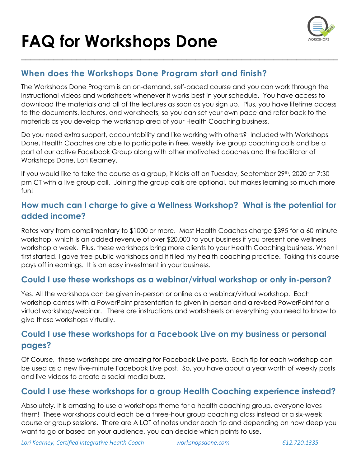

#### **When does the Workshops Done Program start and finish?**

The Workshops Done Program is an on-demand, self-paced course and you can work through the instructional videos and worksheets whenever it works best in your schedule. You have access to download the materials and all of the lectures as soon as you sign up. Plus, you have lifetime access to the documents, lectures, and worksheets, so you can set your own pace and refer back to the materials as you develop the workshop area of your Health Coaching business.

\_\_\_\_\_\_\_\_\_\_\_\_\_\_\_\_\_\_\_\_\_\_\_\_\_\_\_\_\_\_\_\_\_\_\_\_\_\_\_\_\_\_\_\_\_\_\_\_\_\_\_\_\_\_\_\_\_\_\_\_\_\_\_\_\_\_\_\_\_

Do you need extra support, accountability and like working with others? Included with Workshops Done, Health Coaches are able to participate in free, weekly live group coaching calls and be a part of our active Facebook Group along with other motivated coaches and the facilitator of Workshops Done, Lori Kearney.

If you would like to take the course as a group, it kicks off on Tuesday, September 29th, 2020 at 7:30 pm CT with a live group call. Joining the group calls are optional, but makes learning so much more fun!

#### **How much can I charge to give a Wellness Workshop? What is the potential for added income?**

Rates vary from complimentary to \$1000 or more. Most Health Coaches charge \$395 for a 60-minute workshop, which is an added revenue of over \$20,000 to your business if you present one wellness workshop a week. Plus, these workshops bring more clients to your Health Coaching business. When I first started, I gave free public workshops and it filled my health coaching practice. Taking this course pays off in earnings. It is an easy investment in your business.

#### **Could I use these workshops as a webinar/virtual workshop or only in-person?**

Yes. All the workshops can be given in-person or online as a webinar/virtual workshop. Each workshop comes with a PowerPoint presentation to given in-person and a revised PowerPoint for a virtual workshop/webinar. There are instructions and worksheets on everything you need to know to give these workshops virtually.

#### **Could I use these workshops for a Facebook Live on my business or personal pages?**

Of Course, these workshops are amazing for Facebook Live posts. Each tip for each workshop can be used as a new five-minute Facebook Live post. So, you have about a year worth of weekly posts and live videos to create a social media buzz.

#### **Could I use these workshops for a group Health Coaching experience instead?**

Absolutely. It is amazing to use a workshops theme for a health coaching group, everyone loves them! These workshops could each be a three-hour group coaching class instead or a six-week course or group sessions. There are A LOT of notes under each tip and depending on how deep you want to go or based on your audience, you can decide which points to use.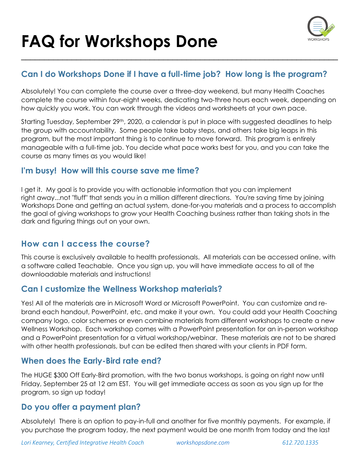

#### **Can I do Workshops Done if I have a full-time job? How long is the program?**

\_\_\_\_\_\_\_\_\_\_\_\_\_\_\_\_\_\_\_\_\_\_\_\_\_\_\_\_\_\_\_\_\_\_\_\_\_\_\_\_\_\_\_\_\_\_\_\_\_\_\_\_\_\_\_\_\_\_\_\_\_\_\_\_\_\_\_\_\_

Absolutely! You can complete the course over a three-day weekend, but many Health Coaches complete the course within four-eight weeks, dedicating two-three hours each week, depending on how quickly you work. You can work through the videos and worksheets at your own pace.

Starting Tuesday, September 29<sup>th</sup>, 2020, a calendar is put in place with suggested deadlines to help the group with accountability. Some people take baby steps, and others take big leaps in this program, but the most important thing is to continue to move forward. This program is entirely manageable with a full-time job. You decide what pace works best for you, and you can take the course as many times as you would like!

#### **I'm busy! How will this course save me time?**

I get it. My goal is to provide you with actionable information that you can implement right away...not "fluff" that sends you in a million different directions. You're saving time by joining Workshops Done and getting an actual system, done-for-you materials and a process to accomplish the goal of giving workshops to grow your Health Coaching business rather than taking shots in the dark and figuring things out on your own.

#### **How can I access the course?**

This course is exclusively available to health professionals. All materials can be accessed online, with a software called Teachable. Once you sign up, you will have immediate access to all of the downloadable materials and instructions!

#### **Can I customize the Wellness Workshop materials?**

Yes! All of the materials are in Microsoft Word or Microsoft PowerPoint. You can customize and rebrand each handout, PowerPoint, etc. and make it your own. You could add your Health Coaching company logo, color schemes or even combine materials from different workshops to create a new Wellness Workshop. Each workshop comes with a PowerPoint presentation for an in-person workshop and a PowerPoint presentation for a virtual workshop/webinar. These materials are not to be shared with other health professionals, but can be edited then shared with your clients in PDF form.

#### **When does the Early-Bird rate end?**

The HUGE \$300 Off Early-Bird promotion, with the two bonus workshops, is going on right now until Friday, September 25 at 12 am EST. You will get immediate access as soon as you sign up for the program, so sign up today!

#### **Do you offer a payment plan?**

Absolutely! There is an option to pay-in-full and another for five monthly payments. For example, if you purchase the program today, the next payment would be one month from today and the last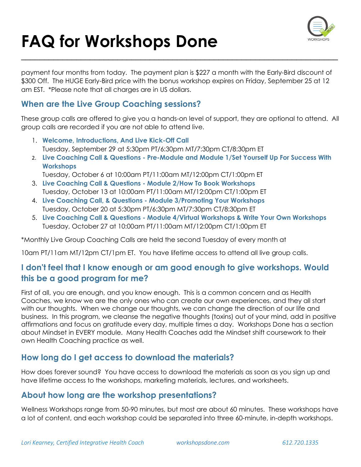

payment four months from today. The payment plan is \$227 a month with the Early-Bird discount of \$300 Off. The HUGE Early-Bird price with the bonus workshop expires on Friday, September 25 at 12 am EST. \*Please note that all charges are in US dollars.

\_\_\_\_\_\_\_\_\_\_\_\_\_\_\_\_\_\_\_\_\_\_\_\_\_\_\_\_\_\_\_\_\_\_\_\_\_\_\_\_\_\_\_\_\_\_\_\_\_\_\_\_\_\_\_\_\_\_\_\_\_\_\_\_\_\_\_\_\_

#### **When are the Live Group Coaching sessions?**

These group calls are offered to give you a hands-on level of support, they are optional to attend. All group calls are recorded if you are not able to attend live.

- 1. **Welcome, Introductions, And Live Kick-Off Call**  Tuesday, September 29 at 5:30pm PT/6:30pm MT/7:30pm CT/8:30pm ET
- 2. **Live Coaching Call & Questions - Pre-Module and Module 1/Set Yourself Up For Success With Workshops**
- Tuesday, October 6 at 10:00am PT/11:00am MT/12:00pm CT/1:00pm ET 3. **Live Coaching Call & Questions - Module 2/How To Book Workshops**
- Tuesday, October 13 at 10:00am PT/11:00am MT/12:00pm CT/1:00pm ET
- 4. **Live Coaching Call, & Questions - Module 3/Promoting Your Workshops** Tuesday, October 20 at 5:30pm PT/6:30pm MT/7:30pm CT/8:30pm ET
- 5. **Live Coaching Call & Questions - Module 4/Virtual Workshops & Write Your Own Workshops**  Tuesday, October 27 at 10:00am PT/11:00am MT/12:00pm CT/1:00pm ET

\*Monthly Live Group Coaching Calls are held the second Tuesday of every month at

10am PT/11am MT/12pm CT/1pm ET. You have lifetime access to attend all live group calls.

#### **I don't feel that I know enough or am good enough to give workshops. Would this be a good program for me?**

First of all, you are enough, and you know enough. This is a common concern and as Health Coaches, we know we are the only ones who can create our own experiences, and they all start with our thoughts. When we change our thoughts, we can change the direction of our life and business. In this program, we cleanse the negative thoughts (toxins) out of your mind, add in positive affirmations and focus on gratitude every day, multiple times a day. Workshops Done has a section about Mindset in EVERY module. Many Health Coaches add the Mindset shift coursework to their own Health Coaching practice as well.

#### **How long do I get access to download the materials?**

How does forever sound? You have access to download the materials as soon as you sign up and have lifetime access to the workshops, marketing materials, lectures, and worksheets.

#### **About how long are the workshop presentations?**

Wellness Workshops range from 50-90 minutes, but most are about 60 minutes. These workshops have a lot of content, and each workshop could be separated into three 60-minute, in-depth workshops.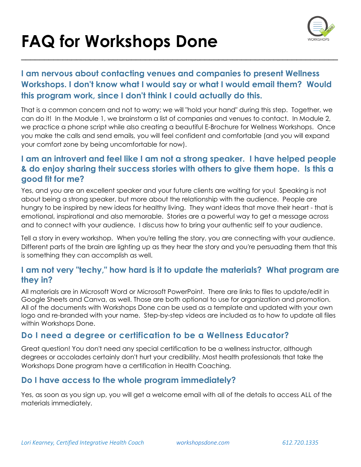## **FAQ for Workshops Done**  \_\_\_\_\_\_\_\_\_\_\_\_\_\_\_\_\_\_\_\_\_\_\_\_\_\_\_\_\_\_\_\_\_\_\_\_\_\_\_\_\_\_\_\_\_\_\_\_\_\_\_\_\_\_\_\_\_\_\_\_\_\_\_\_\_\_\_\_\_



#### **I am nervous about contacting venues and companies to present Wellness Workshops. I don't know what I would say or what I would email them? Would this program work, since I don't think I could actually do this.**

That is a common concern and not to worry; we will "hold your hand" during this step. Together, we can do it! In the Module 1, we brainstorm a list of companies and venues to contact. In Module 2, we practice a phone script while also creating a beautiful E-Brochure for Wellness Workshops. Once you make the calls and send emails, you will feel confident and comfortable (and you will expand your comfort zone by being uncomfortable for now).

#### **I am an introvert and feel like I am not a strong speaker. I have helped people & do enjoy sharing their success stories with others to give them hope. Is this a good fit for me?**

Yes, and you are an excellent speaker and your future clients are waiting for you! Speaking is not about being a strong speaker, but more about the relationship with the audience. People are hungry to be inspired by new ideas for healthy living. They want ideas that move their heart - that is emotional, inspirational and also memorable. Stories are a powerful way to get a message across and to connect with your audience. I discuss how to bring your authentic self to your audience.

Tell a story in every workshop. When you're telling the story, you are connecting with your audience. Different parts of the brain are lighting up as they hear the story and you're persuading them that this is something they can accomplish as well.

#### **I am not very "techy," how hard is it to update the materials? What program are they in?**

All materials are in Microsoft Word or Microsoft PowerPoint. There are links to files to update/edit in Google Sheets and Canva, as well. Those are both optional to use for organization and promotion. All of the documents with Workshops Done can be used as a template and updated with your own logo and re-branded with your name. Step-by-step videos are included as to how to update all files within Workshops Done.

#### **Do I need a degree or certification to be a Wellness Educator?**

Great question! You don't need any special certification to be a wellness instructor, although degrees or accolades certainly don't hurt your credibility. Most health professionals that take the Workshops Done program have a certification in Health Coaching.

#### **Do I have access to the whole program immediately?**

Yes, as soon as you sign up, you will get a welcome email with all of the details to access ALL of the materials immediately.